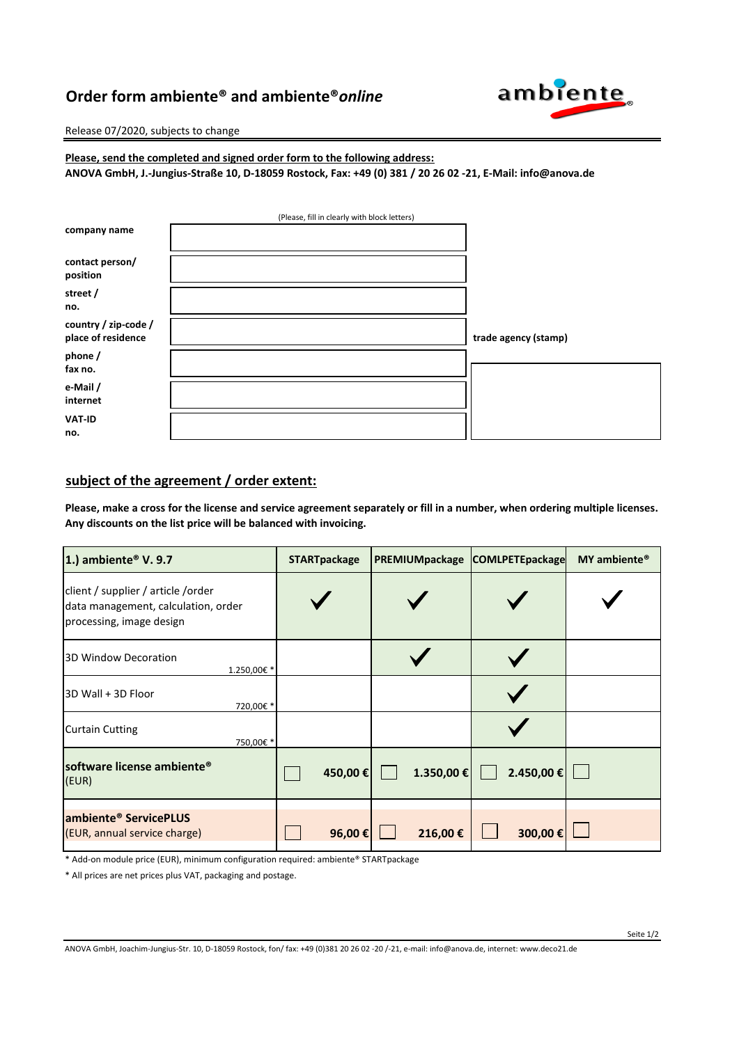## **Order form ambiente® and ambiente®***online*



Release 07/2020, subjects to change

**Please, send the completed and signed order form to the following address: ANOVA GmbH, J.-Jungius-Straße 10, D-18059 Rostock, Fax: +49 (0) 381 / 20 26 02 -21, E-Mail: info@anova.de**

| (Please, fill in clearly with block letters) |  |                      |  |  |  |  |
|----------------------------------------------|--|----------------------|--|--|--|--|
| company name                                 |  |                      |  |  |  |  |
|                                              |  |                      |  |  |  |  |
| contact person/                              |  |                      |  |  |  |  |
| position                                     |  |                      |  |  |  |  |
| street /                                     |  |                      |  |  |  |  |
| no.                                          |  |                      |  |  |  |  |
| country / zip-code /                         |  |                      |  |  |  |  |
| place of residence                           |  | trade agency (stamp) |  |  |  |  |
| phone /                                      |  |                      |  |  |  |  |
| fax no.                                      |  |                      |  |  |  |  |
| e-Mail /                                     |  |                      |  |  |  |  |
| internet                                     |  |                      |  |  |  |  |
| <b>VAT-ID</b>                                |  |                      |  |  |  |  |
| no.                                          |  |                      |  |  |  |  |

## **subject of the agreement / order extent:**

**Please, make a cross for the license and service agreement separately or fill in a number, when ordering multiple licenses. Any discounts on the list price will be balanced with invoicing.**

| 1.) ambiente <sup>®</sup> V. 9.7                                                                       | <b>STARTpackage</b> | PREMIUMpackage | <b>COMLPETEpackage</b> | MY ambiente <sup>®</sup> |
|--------------------------------------------------------------------------------------------------------|---------------------|----------------|------------------------|--------------------------|
| client / supplier / article / order<br>data management, calculation, order<br>processing, image design |                     |                |                        |                          |
| 3D Window Decoration<br>1.250,00€ *                                                                    |                     |                |                        |                          |
| 3D Wall + 3D Floor<br>720,00€ *                                                                        |                     |                |                        |                          |
| <b>Curtain Cutting</b><br>750,00€ *                                                                    |                     |                |                        |                          |
| software license ambiente <sup>®</sup><br>(EUR)                                                        | 450,00€             | 1.350,00€      | 2.450,00 €             |                          |
| ambiente <sup>®</sup> ServicePLUS<br>(EUR, annual service charge)                                      | 96,00€              | 216,00€        | 300,00€                |                          |

\* Add-on module price (EUR), minimum configuration required: ambiente® STARTpackage

\* All prices are net prices plus VAT, packaging and postage.